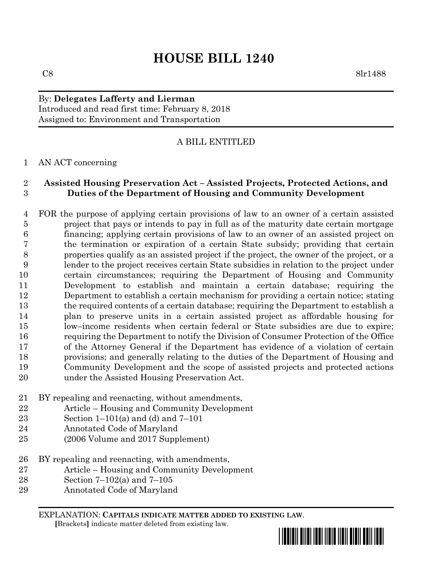## By: **Delegates Lafferty and Lierman** Introduced and read first time: February 8, 2018 Assigned to: Environment and Transportation

# A BILL ENTITLED

#### AN ACT concerning

## **Assisted Housing Preservation Act – Assisted Projects, Protected Actions, and Duties of the Department of Housing and Community Development**

 FOR the purpose of applying certain provisions of law to an owner of a certain assisted 5 project that pays or intends to pay in full as of the maturity date certain mortgage financing; applying certain provisions of law to an owner of an assisted project on the termination or expiration of a certain State subsidy; providing that certain properties qualify as an assisted project if the project, the owner of the project, or a lender to the project receives certain State subsidies in relation to the project under certain circumstances; requiring the Department of Housing and Community Development to establish and maintain a certain database; requiring the Department to establish a certain mechanism for providing a certain notice; stating the required contents of a certain database; requiring the Department to establish a plan to preserve units in a certain assisted project as affordable housing for low–income residents when certain federal or State subsidies are due to expire; requiring the Department to notify the Division of Consumer Protection of the Office of the Attorney General if the Department has evidence of a violation of certain provisions; and generally relating to the duties of the Department of Housing and Community Development and the scope of assisted projects and protected actions under the Assisted Housing Preservation Act.

- BY repealing and reenacting, without amendments,
- Article Housing and Community Development
- Section 1–101(a) and (d) and 7–101
- Annotated Code of Maryland
- (2006 Volume and 2017 Supplement)
- BY repealing and reenacting, with amendments,
- Article Housing and Community Development
- Section 7–102(a) and 7–105
- Annotated Code of Maryland

EXPLANATION: **CAPITALS INDICATE MATTER ADDED TO EXISTING LAW**.  **[**Brackets**]** indicate matter deleted from existing law.

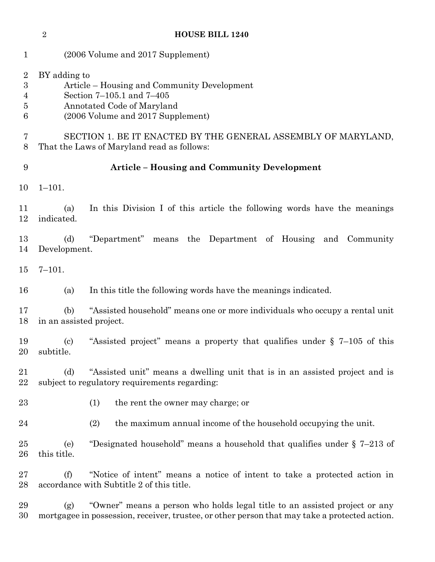|                                                   | $\overline{2}$                                                                                                                                              | <b>HOUSE BILL 1240</b>                                                                                                                                                      |
|---------------------------------------------------|-------------------------------------------------------------------------------------------------------------------------------------------------------------|-----------------------------------------------------------------------------------------------------------------------------------------------------------------------------|
| $\mathbf{1}$                                      | (2006 Volume and 2017 Supplement)                                                                                                                           |                                                                                                                                                                             |
| $\overline{2}$<br>$\boldsymbol{3}$<br>4<br>5<br>6 | BY adding to<br>Article – Housing and Community Development<br>Section 7–105.1 and 7–405<br>Annotated Code of Maryland<br>(2006 Volume and 2017 Supplement) |                                                                                                                                                                             |
| 7<br>8                                            | SECTION 1. BE IT ENACTED BY THE GENERAL ASSEMBLY OF MARYLAND,<br>That the Laws of Maryland read as follows:                                                 |                                                                                                                                                                             |
| 9                                                 | <b>Article - Housing and Community Development</b>                                                                                                          |                                                                                                                                                                             |
| 10                                                | $1 - 101.$                                                                                                                                                  |                                                                                                                                                                             |
| 11<br>12                                          | (a)<br>indicated.                                                                                                                                           | In this Division I of this article the following words have the meanings                                                                                                    |
| 13<br>14                                          | (d)<br>Development.                                                                                                                                         | "Department"<br>means the Department of Housing<br>and<br>Community                                                                                                         |
| 15                                                | $7 - 101.$                                                                                                                                                  |                                                                                                                                                                             |
| 16                                                | (a)                                                                                                                                                         | In this title the following words have the meanings indicated.                                                                                                              |
| 17<br>18                                          | (b)<br>in an assisted project.                                                                                                                              | "Assisted household" means one or more individuals who occupy a rental unit                                                                                                 |
| 19<br>$20\,$                                      | $\left( \mathrm{c}\right)$<br>subtitle.                                                                                                                     | "Assisted project" means a property that qualifies under $\S$ 7–105 of this                                                                                                 |
| 21<br>22                                          | (d)                                                                                                                                                         | "Assisted unit" means a dwelling unit that is in an assisted project and is<br>subject to regulatory requirements regarding:                                                |
| 23                                                |                                                                                                                                                             | (1)<br>the rent the owner may charge; or                                                                                                                                    |
| $\sqrt{24}$                                       |                                                                                                                                                             | (2)<br>the maximum annual income of the household occupying the unit.                                                                                                       |
| 25<br>26                                          | (e)<br>this title.                                                                                                                                          | "Designated household" means a household that qualifies under $\S$ 7-213 of                                                                                                 |
| 27<br>28                                          | (f)                                                                                                                                                         | "Notice of intent" means a notice of intent to take a protected action in<br>accordance with Subtitle 2 of this title.                                                      |
| 29<br>30                                          | (g)                                                                                                                                                         | "Owner" means a person who holds legal title to an assisted project or any<br>mortgagee in possession, receiver, trustee, or other person that may take a protected action. |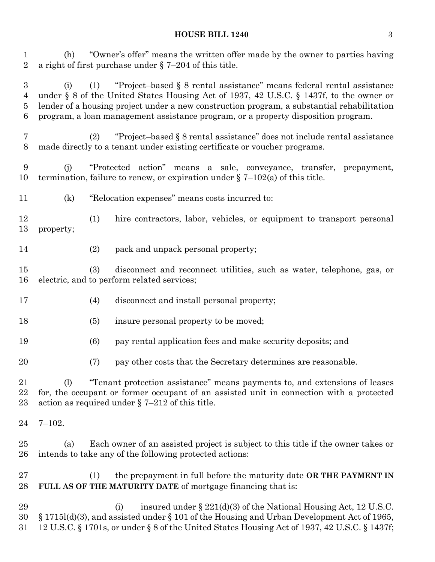(h) "Owner's offer" means the written offer made by the owner to parties having a right of first purchase under § 7–204 of this title.

 (i) (1) "Project–based § 8 rental assistance" means federal rental assistance under § 8 of the United States Housing Act of 1937, 42 U.S.C. § 1437f, to the owner or lender of a housing project under a new construction program, a substantial rehabilitation program, a loan management assistance program, or a property disposition program.

 (2) "Project–based § 8 rental assistance" does not include rental assistance made directly to a tenant under existing certificate or voucher programs.

 (j) "Protected action" means a sale, conveyance, transfer, prepayment, termination, failure to renew, or expiration under § 7–102(a) of this title.

- (k) "Relocation expenses" means costs incurred to:
- (1) hire contractors, labor, vehicles, or equipment to transport personal property;
- (2) pack and unpack personal property;

 (3) disconnect and reconnect utilities, such as water, telephone, gas, or electric, and to perform related services;

- (4) disconnect and install personal property;
- 18 (5) insure personal property to be moved;
- (6) pay rental application fees and make security deposits; and
- (7) pay other costs that the Secretary determines are reasonable.

 (l) "Tenant protection assistance" means payments to, and extensions of leases for, the occupant or former occupant of an assisted unit in connection with a protected action as required under § 7–212 of this title.

- 7–102.
- (a) Each owner of an assisted project is subject to this title if the owner takes or intends to take any of the following protected actions:
- (1) the prepayment in full before the maturity date **OR THE PAYMENT IN FULL AS OF THE MATURITY DATE** of mortgage financing that is:

29 (i) insured under  $\S 221(d)(3)$  of the National Housing Act, 12 U.S.C. § 1715l(d)(3), and assisted under § 101 of the Housing and Urban Development Act of 1965, 12 U.S.C. § 1701s, or under § 8 of the United States Housing Act of 1937, 42 U.S.C. § 1437f;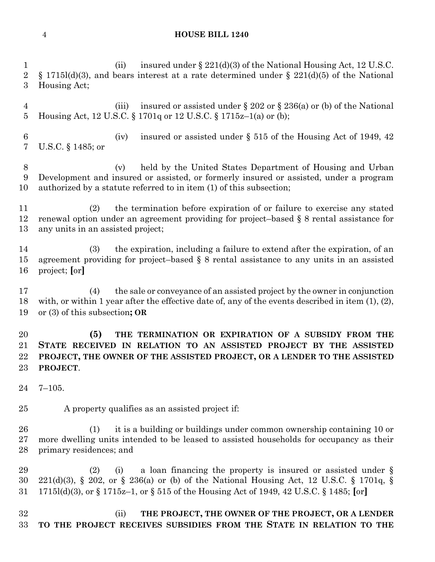#### **HOUSE BILL 1240**

1 (ii) insured under § 221(d)(3) of the National Housing Act, 12 U.S.C. 2 § 1715l(d)(3), and bears interest at a rate determined under § 221(d)(5) of the National Housing Act; 4 (iii) insured or assisted under § 202 or § 236(a) or (b) of the National Housing Act, 12 U.S.C. § 1701q or 12 U.S.C. § 1715z–1(a) or (b); 6 (iv) insured or assisted under  $\S 515$  of the Housing Act of 1949, 42 U.S.C. § 1485; or (v) held by the United States Department of Housing and Urban Development and insured or assisted, or formerly insured or assisted, under a program authorized by a statute referred to in item (1) of this subsection; (2) the termination before expiration of or failure to exercise any stated renewal option under an agreement providing for project–based § 8 rental assistance for any units in an assisted project; (3) the expiration, including a failure to extend after the expiration, of an agreement providing for project–based § 8 rental assistance to any units in an assisted project; **[**or**]** (4) the sale or conveyance of an assisted project by the owner in conjunction with, or within 1 year after the effective date of, any of the events described in item (1), (2), or (3) of this subsection**; OR (5) THE TERMINATION OR EXPIRATION OF A SUBSIDY FROM THE STATE RECEIVED IN RELATION TO AN ASSISTED PROJECT BY THE ASSISTED PROJECT, THE OWNER OF THE ASSISTED PROJECT, OR A LENDER TO THE ASSISTED PROJECT**. 7–105. A property qualifies as an assisted project if: (1) it is a building or buildings under common ownership containing 10 or more dwelling units intended to be leased to assisted households for occupancy as their primary residences; and (2) (i) a loan financing the property is insured or assisted under § 221(d)(3), § 202, or § 236(a) or (b) of the National Housing Act, 12 U.S.C. § 1701q, § 1715l(d)(3), or § 1715z–1, or § 515 of the Housing Act of 1949, 42 U.S.C. § 1485; **[**or**]** (ii) **THE PROJECT, THE OWNER OF THE PROJECT, OR A LENDER TO THE PROJECT RECEIVES SUBSIDIES FROM THE STATE IN RELATION TO THE**